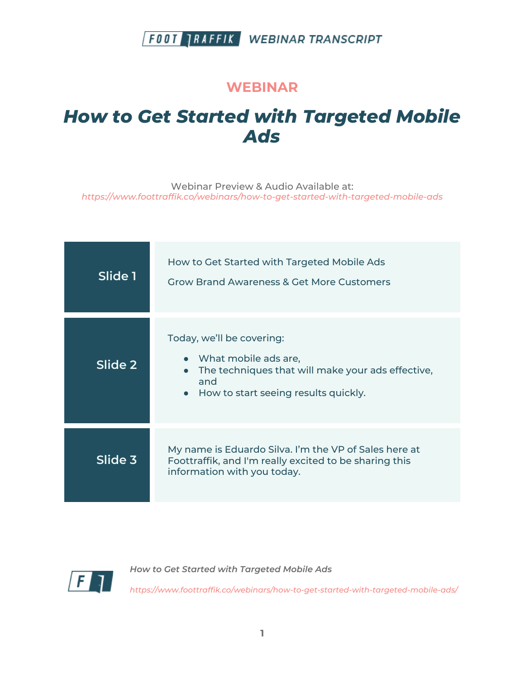#### **WEBINAR**

# *How to Get Started with Targeted Mobile Ads*

Webinar Preview & Audio Available at: *https://www.foottraffik.co/webinars/how-to-get-started-with-targeted-mobile-ads*

| Slide 1 | How to Get Started with Targeted Mobile Ads<br><b>Grow Brand Awareness &amp; Get More Customers</b>                                                                  |
|---------|----------------------------------------------------------------------------------------------------------------------------------------------------------------------|
| Slide 2 | Today, we'll be covering:<br>• What mobile ads are,<br>The techniques that will make your ads effective,<br>and<br>How to start seeing results quickly.<br>$\bullet$ |
| Slide 3 | My name is Eduardo Silva. I'm the VP of Sales here at<br>Foottraffik, and I'm really excited to be sharing this<br>information with you today.                       |



*How to Get Started with Targeted Mobile Ads*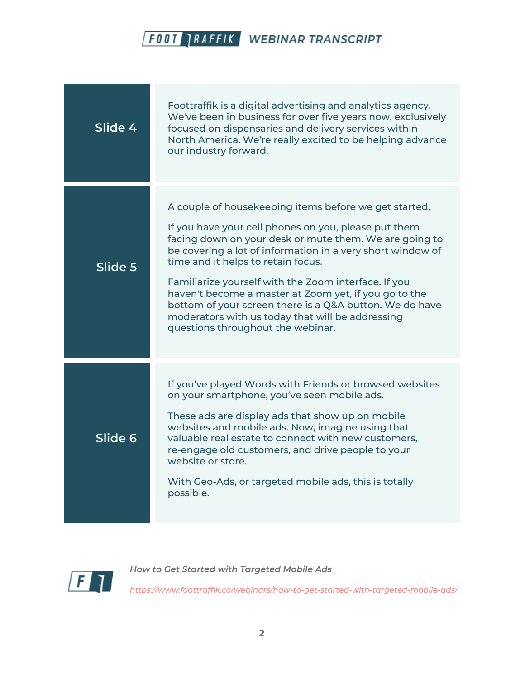

| Slide 4 | Foottraffik is a digital advertising and analytics agency.<br>We've been in business for over five years now, exclusively<br>focused on dispensaries and delivery services within<br>North America. We're really excited to be helping advance<br>our industry forward.                                                                                                                                                                                                                                                                          |
|---------|--------------------------------------------------------------------------------------------------------------------------------------------------------------------------------------------------------------------------------------------------------------------------------------------------------------------------------------------------------------------------------------------------------------------------------------------------------------------------------------------------------------------------------------------------|
| Slide 5 | A couple of housekeeping items before we get started.<br>If you have your cell phones on you, please put them<br>facing down on your desk or mute them. We are going to<br>be covering a lot of information in a very short window of<br>time and it helps to retain focus.<br>Familiarize yourself with the Zoom interface. If you<br>haven't become a master at Zoom yet, if you go to the<br>bottom of your screen there is a Q&A button. We do have<br>moderators with us today that will be addressing<br>questions throughout the webinar. |
| Slide 6 | If you've played Words with Friends or browsed websites<br>on your smartphone, you've seen mobile ads.<br>These ads are display ads that show up on mobile<br>websites and mobile ads. Now, imagine using that<br>valuable real estate to connect with new customers,<br>re-engage old customers, and drive people to your<br>website or store.<br>With Geo-Ads, or targeted mobile ads, this is totally<br>possible.                                                                                                                            |



*How to Get Started with Targeted Mobile Ads*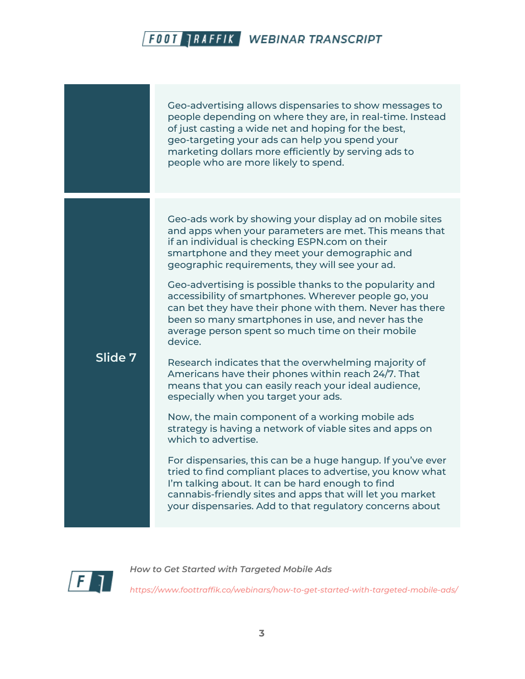|         | Geo-advertising allows dispensaries to show messages to<br>people depending on where they are, in real-time. Instead<br>of just casting a wide net and hoping for the best,<br>geo-targeting your ads can help you spend your<br>marketing dollars more efficiently by serving ads to<br>people who are more likely to spend.                                                                                                                                                                                                                                                                                                                                                                                                                                                                                                                                                                                                                                                                                                                                                                                                                                                                                                                 |
|---------|-----------------------------------------------------------------------------------------------------------------------------------------------------------------------------------------------------------------------------------------------------------------------------------------------------------------------------------------------------------------------------------------------------------------------------------------------------------------------------------------------------------------------------------------------------------------------------------------------------------------------------------------------------------------------------------------------------------------------------------------------------------------------------------------------------------------------------------------------------------------------------------------------------------------------------------------------------------------------------------------------------------------------------------------------------------------------------------------------------------------------------------------------------------------------------------------------------------------------------------------------|
| Slide 7 | Geo-ads work by showing your display ad on mobile sites<br>and apps when your parameters are met. This means that<br>if an individual is checking ESPN.com on their<br>smartphone and they meet your demographic and<br>geographic requirements, they will see your ad.<br>Geo-advertising is possible thanks to the popularity and<br>accessibility of smartphones. Wherever people go, you<br>can bet they have their phone with them. Never has there<br>been so many smartphones in use, and never has the<br>average person spent so much time on their mobile<br>device.<br>Research indicates that the overwhelming majority of<br>Americans have their phones within reach 24/7. That<br>means that you can easily reach your ideal audience,<br>especially when you target your ads.<br>Now, the main component of a working mobile ads<br>strategy is having a network of viable sites and apps on<br>which to advertise.<br>For dispensaries, this can be a huge hangup. If you've ever<br>tried to find compliant places to advertise, you know what<br>I'm talking about. It can be hard enough to find<br>cannabis-friendly sites and apps that will let you market<br>your dispensaries. Add to that regulatory concerns about |



*How to Get Started with Targeted Mobile Ads*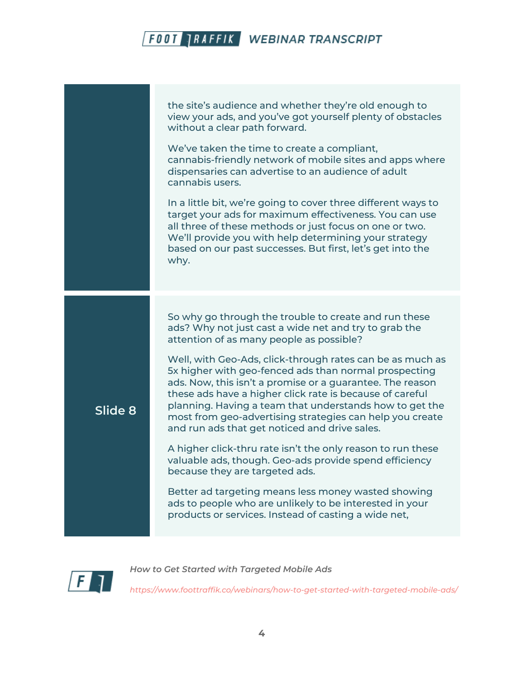



*How to Get Started with Targeted Mobile Ads*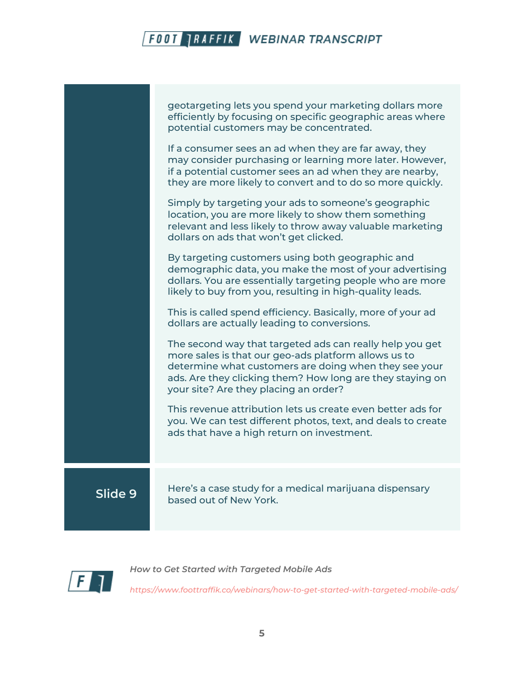|         | geotargeting lets you spend your marketing dollars more<br>efficiently by focusing on specific geographic areas where<br>potential customers may be concentrated.                                                                                                               |
|---------|---------------------------------------------------------------------------------------------------------------------------------------------------------------------------------------------------------------------------------------------------------------------------------|
|         | If a consumer sees an ad when they are far away, they<br>may consider purchasing or learning more later. However,<br>if a potential customer sees an ad when they are nearby,<br>they are more likely to convert and to do so more quickly.                                     |
|         | Simply by targeting your ads to someone's geographic<br>location, you are more likely to show them something<br>relevant and less likely to throw away valuable marketing<br>dollars on ads that won't get clicked.                                                             |
|         | By targeting customers using both geographic and<br>demographic data, you make the most of your advertising<br>dollars. You are essentially targeting people who are more<br>likely to buy from you, resulting in high-quality leads.                                           |
|         | This is called spend efficiency. Basically, more of your ad<br>dollars are actually leading to conversions.                                                                                                                                                                     |
|         | The second way that targeted ads can really help you get<br>more sales is that our geo-ads platform allows us to<br>determine what customers are doing when they see your<br>ads. Are they clicking them? How long are they staying on<br>your site? Are they placing an order? |
|         | This revenue attribution lets us create even better ads for<br>you. We can test different photos, text, and deals to create<br>ads that have a high return on investment.                                                                                                       |
| Slide 9 | Here's a case study for a medical marijuana dispensary<br>based out of New York.                                                                                                                                                                                                |
|         |                                                                                                                                                                                                                                                                                 |



*How to Get Started with Targeted Mobile Ads*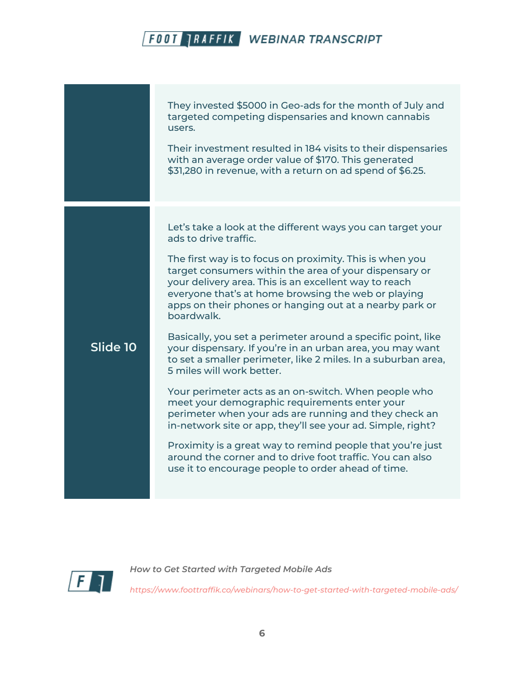They invested \$5000 in Geo-ads for the month of July and targeted competing dispensaries and known cannabis users.

Their investment resulted in 184 visits to their dispensaries with an average order value of \$170. This generated \$31,280 in revenue, with a return on ad spend of \$6.25.

Let's take a look at the different ways you can target your ads to drive traffic.

The first way is to focus on proximity. This is when you target consumers within the area of your dispensary or your delivery area. This is an excellent way to reach everyone that's at home browsing the web or playing apps on their phones or hanging out at a nearby park or boardwalk.

Basically, you set a perimeter around a specific point, like your dispensary. If you're in an urban area, you may want to set a smaller perimeter, like 2 miles. In a suburban area, 5 miles will work better.

Your perimeter acts as an on-switch. When people who meet your demographic requirements enter your perimeter when your ads are running and they check an in-network site or app, they'll see your ad. Simple, right?

Proximity is a great way to remind people that you're just around the corner and to drive foot traffic. You can also use it to encourage people to order ahead of time.



**Slide 10**

*How to Get Started with Targeted Mobile Ads*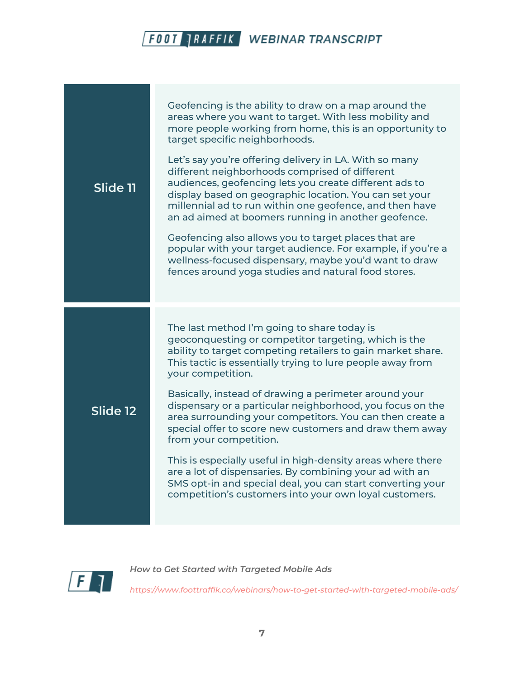| Slide 11 | Geofencing is the ability to draw on a map around the<br>areas where you want to target. With less mobility and<br>more people working from home, this is an opportunity to<br>target specific neighborhoods.<br>Let's say you're offering delivery in LA. With so many<br>different neighborhoods comprised of different<br>audiences, geofencing lets you create different ads to<br>display based on geographic location. You can set your<br>millennial ad to run within one geofence, and then have<br>an ad aimed at boomers running in another geofence.<br>Geofencing also allows you to target places that are<br>popular with your target audience. For example, if you're a<br>wellness-focused dispensary, maybe you'd want to draw<br>fences around yoga studies and natural food stores. |
|----------|--------------------------------------------------------------------------------------------------------------------------------------------------------------------------------------------------------------------------------------------------------------------------------------------------------------------------------------------------------------------------------------------------------------------------------------------------------------------------------------------------------------------------------------------------------------------------------------------------------------------------------------------------------------------------------------------------------------------------------------------------------------------------------------------------------|
| Slide 12 | The last method I'm going to share today is<br>geoconquesting or competitor targeting, which is the<br>ability to target competing retailers to gain market share.<br>This tactic is essentially trying to lure people away from<br>your competition.<br>Basically, instead of drawing a perimeter around your<br>dispensary or a particular neighborhood, you focus on the<br>area surrounding your competitors. You can then create a<br>special offer to score new customers and draw them away<br>from your competition.<br>This is especially useful in high-density areas where there<br>are a lot of dispensaries. By combining your ad with an<br>SMS opt-in and special deal, you can start converting your<br>competition's customers into your own loyal customers.                         |



*How to Get Started with Targeted Mobile Ads*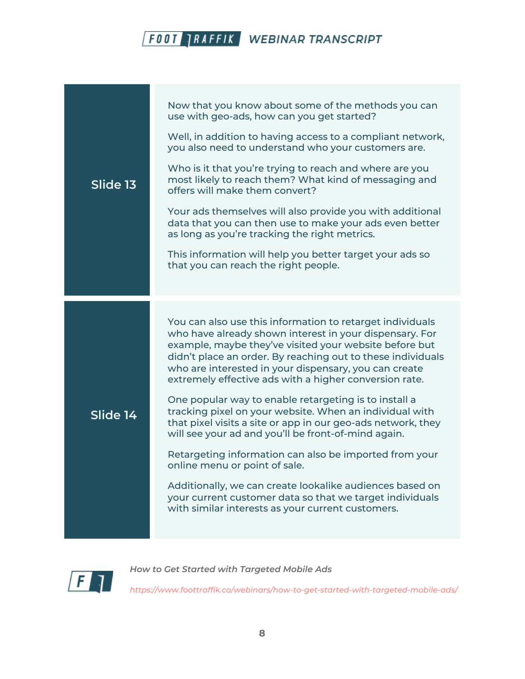|          | Now that you know about some of the methods you can<br>use with geo-ads, how can you get started?                                                                                                                                                                                                                                                                |
|----------|------------------------------------------------------------------------------------------------------------------------------------------------------------------------------------------------------------------------------------------------------------------------------------------------------------------------------------------------------------------|
|          | Well, in addition to having access to a compliant network,<br>you also need to understand who your customers are.                                                                                                                                                                                                                                                |
| Slide 13 | Who is it that you're trying to reach and where are you<br>most likely to reach them? What kind of messaging and<br>offers will make them convert?                                                                                                                                                                                                               |
|          | Your ads themselves will also provide you with additional<br>data that you can then use to make your ads even better<br>as long as you're tracking the right metrics.                                                                                                                                                                                            |
|          | This information will help you better target your ads so<br>that you can reach the right people.                                                                                                                                                                                                                                                                 |
|          |                                                                                                                                                                                                                                                                                                                                                                  |
|          |                                                                                                                                                                                                                                                                                                                                                                  |
|          | You can also use this information to retarget individuals<br>who have already shown interest in your dispensary. For<br>example, maybe they've visited your website before but<br>didn't place an order. By reaching out to these individuals<br>who are interested in your dispensary, you can create<br>extremely effective ads with a higher conversion rate. |
| Slide 14 | One popular way to enable retargeting is to install a<br>tracking pixel on your website. When an individual with<br>that pixel visits a site or app in our geo-ads network, they<br>will see your ad and you'll be front-of-mind again.                                                                                                                          |
|          | Retargeting information can also be imported from your<br>online menu or point of sale.                                                                                                                                                                                                                                                                          |
|          | Additionally, we can create lookalike audiences based on<br>your current customer data so that we target individuals<br>with similar interests as your current customers.                                                                                                                                                                                        |



*How to Get Started with Targeted Mobile Ads*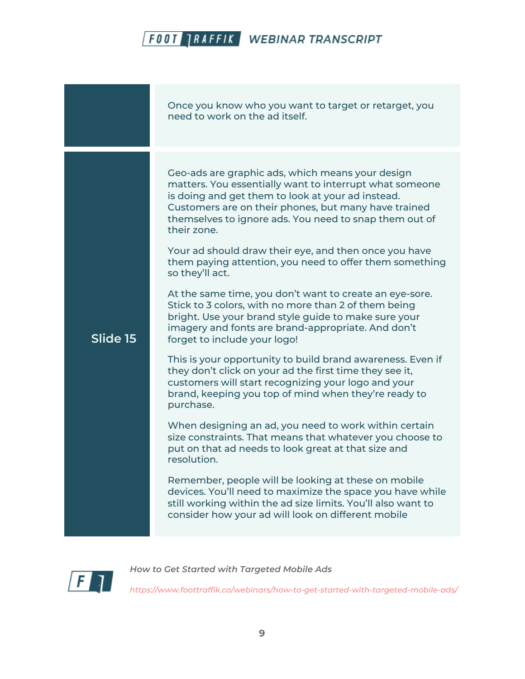|          | Once you know who you want to target or retarget, you<br>need to work on the ad itself.                                                                                                                                                                                                                                                                                                                                                                                                                                                                                                                                                                                                                                                                                                                                                                                                                                                                                                                                                                                                                                                                                                                                                                                                                                                                                                             |
|----------|-----------------------------------------------------------------------------------------------------------------------------------------------------------------------------------------------------------------------------------------------------------------------------------------------------------------------------------------------------------------------------------------------------------------------------------------------------------------------------------------------------------------------------------------------------------------------------------------------------------------------------------------------------------------------------------------------------------------------------------------------------------------------------------------------------------------------------------------------------------------------------------------------------------------------------------------------------------------------------------------------------------------------------------------------------------------------------------------------------------------------------------------------------------------------------------------------------------------------------------------------------------------------------------------------------------------------------------------------------------------------------------------------------|
| Slide 15 | Geo-ads are graphic ads, which means your design<br>matters. You essentially want to interrupt what someone<br>is doing and get them to look at your ad instead.<br>Customers are on their phones, but many have trained<br>themselves to ignore ads. You need to snap them out of<br>their zone.<br>Your ad should draw their eye, and then once you have<br>them paying attention, you need to offer them something<br>so they'll act.<br>At the same time, you don't want to create an eye-sore.<br>Stick to 3 colors, with no more than 2 of them being<br>bright. Use your brand style guide to make sure your<br>imagery and fonts are brand-appropriate. And don't<br>forget to include your logo!<br>This is your opportunity to build brand awareness. Even if<br>they don't click on your ad the first time they see it,<br>customers will start recognizing your logo and your<br>brand, keeping you top of mind when they're ready to<br>purchase.<br>When designing an ad, you need to work within certain<br>size constraints. That means that whatever you choose to<br>put on that ad needs to look great at that size and<br>resolution.<br>Remember, people will be looking at these on mobile<br>devices. You'll need to maximize the space you have while<br>still working within the ad size limits. You'll also want to<br>consider how your ad will look on different mobile |



*How to Get Started with Targeted Mobile Ads*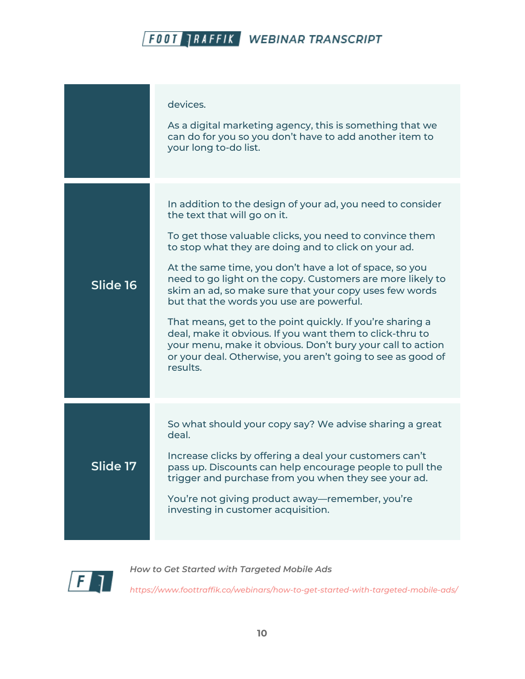|                 | devices.<br>As a digital marketing agency, this is something that we<br>can do for you so you don't have to add another item to<br>your long to-do list.                                                                                                                                                                                                                                                                                                                                                                                                                                                                                                                                                       |
|-----------------|----------------------------------------------------------------------------------------------------------------------------------------------------------------------------------------------------------------------------------------------------------------------------------------------------------------------------------------------------------------------------------------------------------------------------------------------------------------------------------------------------------------------------------------------------------------------------------------------------------------------------------------------------------------------------------------------------------------|
| Slide 16        | In addition to the design of your ad, you need to consider<br>the text that will go on it.<br>To get those valuable clicks, you need to convince them<br>to stop what they are doing and to click on your ad.<br>At the same time, you don't have a lot of space, so you<br>need to go light on the copy. Customers are more likely to<br>skim an ad, so make sure that your copy uses few words<br>but that the words you use are powerful.<br>That means, get to the point quickly. If you're sharing a<br>deal, make it obvious. If you want them to click-thru to<br>your menu, make it obvious. Don't bury your call to action<br>or your deal. Otherwise, you aren't going to see as good of<br>results. |
| <b>Slide 17</b> | So what should your copy say? We advise sharing a great<br>deal.<br>Increase clicks by offering a deal your customers can't<br>pass up. Discounts can help encourage people to pull the<br>trigger and purchase from you when they see your ad.<br>You're not giving product away-remember, you're<br>investing in customer acquisition.                                                                                                                                                                                                                                                                                                                                                                       |



*How to Get Started with Targeted Mobile Ads*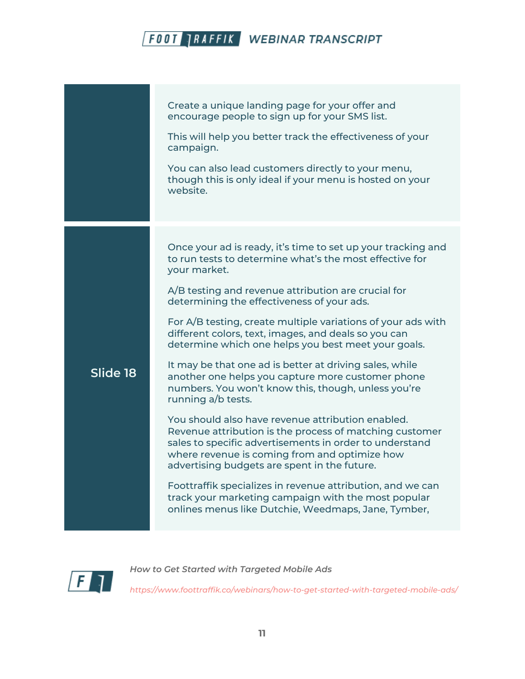|          | Create a unique landing page for your offer and<br>encourage people to sign up for your SMS list.<br>This will help you better track the effectiveness of your<br>campaign.<br>You can also lead customers directly to your menu,<br>though this is only ideal if your menu is hosted on your<br>website.                                                                                                                                                                                                                                                                                                                                                                                                                                                                                                                                                                                                                                                                                                                                                                            |
|----------|--------------------------------------------------------------------------------------------------------------------------------------------------------------------------------------------------------------------------------------------------------------------------------------------------------------------------------------------------------------------------------------------------------------------------------------------------------------------------------------------------------------------------------------------------------------------------------------------------------------------------------------------------------------------------------------------------------------------------------------------------------------------------------------------------------------------------------------------------------------------------------------------------------------------------------------------------------------------------------------------------------------------------------------------------------------------------------------|
| Slide 18 | Once your ad is ready, it's time to set up your tracking and<br>to run tests to determine what's the most effective for<br>your market.<br>$A/B$ testing and revenue attribution are crucial for<br>determining the effectiveness of your ads.<br>For $A/B$ testing, create multiple variations of your ads with<br>different colors, text, images, and deals so you can<br>determine which one helps you best meet your goals.<br>It may be that one ad is better at driving sales, while<br>another one helps you capture more customer phone<br>numbers. You won't know this, though, unless you're<br>running a/b tests.<br>You should also have revenue attribution enabled.<br>Revenue attribution is the process of matching customer<br>sales to specific advertisements in order to understand<br>where revenue is coming from and optimize how<br>advertising budgets are spent in the future.<br>Foottraffik specializes in revenue attribution, and we can<br>track your marketing campaign with the most popular<br>onlines menus like Dutchie, Weedmaps, Jane, Tymber, |



*How to Get Started with Targeted Mobile Ads*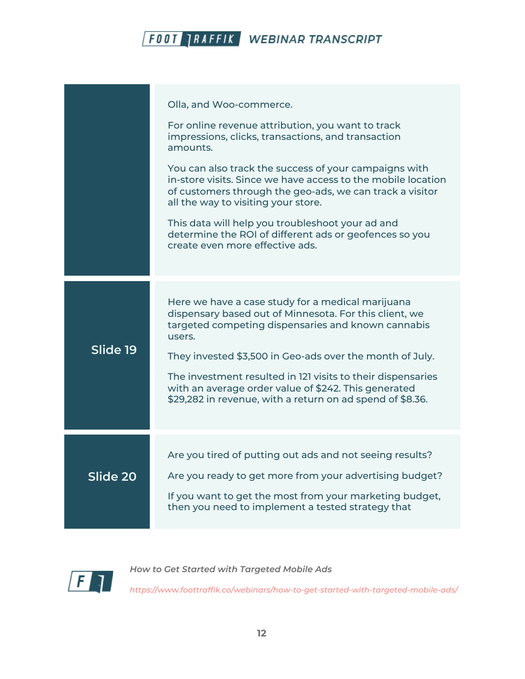

|          | Olla, and Woo-commerce.<br>For online revenue attribution, you want to track<br>impressions, clicks, transactions, and transaction<br>amounts.<br>You can also track the success of your campaigns with<br>in-store visits. Since we have access to the mobile location<br>of customers through the geo-ads, we can track a visitor<br>all the way to visiting your store.<br>This data will help you troubleshoot your ad and<br>determine the ROI of different ads or geofences so you<br>create even more effective ads. |
|----------|-----------------------------------------------------------------------------------------------------------------------------------------------------------------------------------------------------------------------------------------------------------------------------------------------------------------------------------------------------------------------------------------------------------------------------------------------------------------------------------------------------------------------------|
| Slide 19 | Here we have a case study for a medical marijuana<br>dispensary based out of Minnesota. For this client, we<br>targeted competing dispensaries and known cannabis<br>users.<br>They invested \$3,500 in Geo-ads over the month of July.<br>The investment resulted in 121 visits to their dispensaries<br>with an average order value of \$242. This generated<br>\$29,282 in revenue, with a return on ad spend of \$8.36.                                                                                                 |
| Slide 20 | Are you tired of putting out ads and not seeing results?<br>Are you ready to get more from your advertising budget?<br>If you want to get the most from your marketing budget,<br>then you need to implement a tested strategy that                                                                                                                                                                                                                                                                                         |



*How to Get Started with Targeted Mobile Ads*